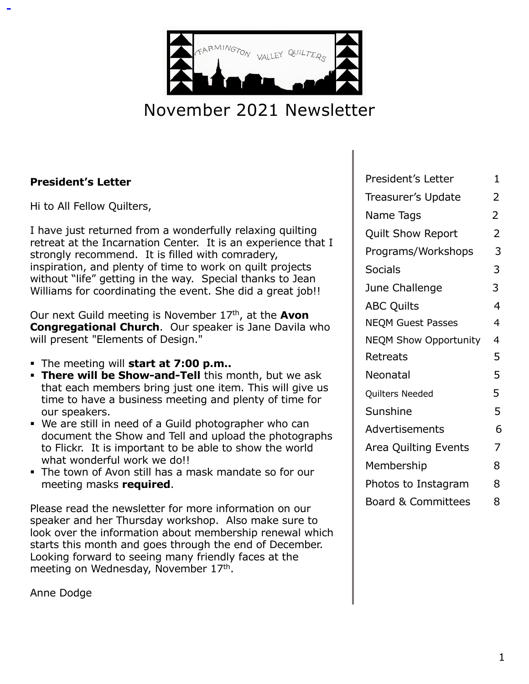

# November 2021 Newsletter

#### **President's Letter**

Hi to All Fellow Quilters,

I have just returned from a wonderfully relaxing quilting retreat at the Incarnation Center. It is an experience that I strongly recommend. It is filled with comradery, inspiration, and plenty of time to work on quilt projects without "life" getting in the way. Special thanks to Jean Williams for coordinating the event. She did a great job!!

Our next Guild meeting is November 17th, at the **Avon Congregational Church**. Our speaker is Jane Davila who will present "Elements of Design."

- § The meeting will **start at 7:00 p.m..**
- **· There will be Show-and-Tell** this month, but we ask that each members bring just one item. This will give us time to have a business meeting and plenty of time for our speakers.
- § We are still in need of a Guild photographer who can document the Show and Tell and upload the photographs to Flickr. It is important to be able to show the world what wonderful work we do!!
- The town of Avon still has a mask mandate so for our meeting masks **required**.

Please read the newsletter for more information on our speaker and her Thursday workshop. Also make sure to look over the information about membership renewal which starts this month and goes through the end of December. Looking forward to seeing many friendly faces at the meeting on Wednesday, November 17<sup>th</sup>.

Anne Dodge

| President's Letter            | 1              |
|-------------------------------|----------------|
| Treasurer's Update            | 2              |
| Name Tags                     | $\overline{2}$ |
| <b>Quilt Show Report</b>      | $\overline{2}$ |
| Programs/Workshops            | 3              |
| <b>Socials</b>                | 3              |
| June Challenge                | 3              |
| <b>ABC Quilts</b>             | $\overline{4}$ |
| <b>NEQM Guest Passes</b>      | 4              |
| <b>NEQM Show Opportunity</b>  | 4              |
| Retreats                      | 5              |
| Neonatal                      | 5              |
| Quilters Needed               | 5              |
| Sunshine                      | 5              |
| Advertisements                | 6              |
| Area Quilting Events          | 7              |
| Membership                    | 8              |
| Photos to Instagram           | 8              |
| <b>Board &amp; Committees</b> | 8              |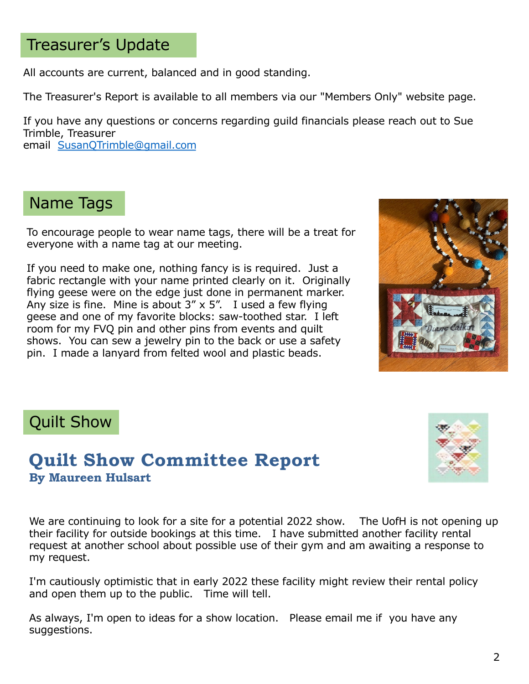# Treasurer's Update

All accounts are current, balanced and in good standing.

The Treasurer's Report is available to all members via our "Members Only" website page.

If you have any questions or concerns regarding guild financials please reach out to Sue Trimble, Treasurer

email [SusanQTrimble@gmail.com](mailto:SusanQTrimble@gmail.com)

# Name Tags

To encourage people to wear name tags, there will be a treat for everyone with a name tag at our meeting.

If you need to make one, nothing fancy is is required. Just a fabric rectangle with your name printed clearly on it. Originally flying geese were on the edge just done in permanent marker. Any size is fine. Mine is about  $3'' \times 5''$ . I used a few flying geese and one of my favorite blocks: saw-toothed star. I left room for my FVQ pin and other pins from events and quilt shows. You can sew a jewelry pin to the back or use a safety pin. I made a lanyard from felted wool and plastic beads.



# Quilt Show

## **Quilt Show Committee Report By Maureen Hulsart**



We are continuing to look for a site for a potential 2022 show. The UofH is not opening up their facility for outside bookings at this time. I have submitted another facility rental request at another school about possible use of their gym and am awaiting a response to my request.

I'm cautiously optimistic that in early 2022 these facility might review their rental policy and open them up to the public. Time will tell.

As always, I'm open to ideas for a show location. Please email me if you have any suggestions.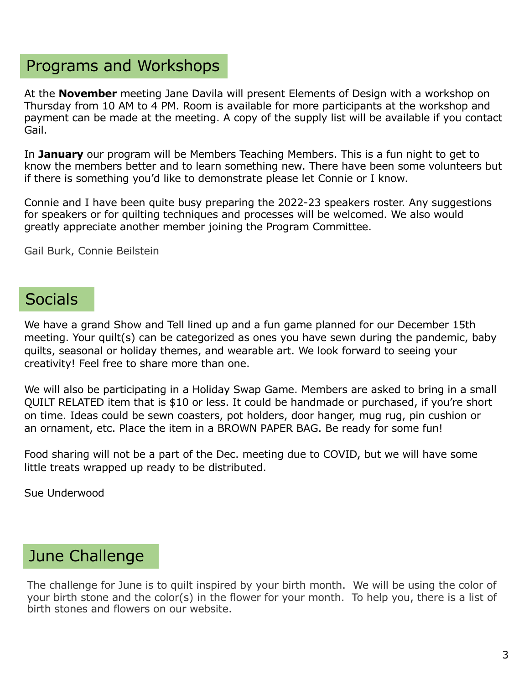# Programs and Workshops

At the **November** meeting Jane Davila will present Elements of Design with a workshop on Thursday from 10 AM to 4 PM. Room is available for more participants at the workshop and payment can be made at the meeting. A copy of the supply list will be available if you contact Gail.

In **January** our program will be Members Teaching Members. This is a fun night to get to know the members better and to learn something new. There have been some volunteers but if there is something you'd like to demonstrate please let Connie or I know.

Connie and I have been quite busy preparing the 2022-23 speakers roster. Any suggestions for speakers or for quilting techniques and processes will be welcomed. We also would greatly appreciate another member joining the Program Committee.

Gail Burk, Connie Beilstein

# **Socials**

We have a grand Show and Tell lined up and a fun game planned for our December 15th meeting. Your quilt(s) can be categorized as ones you have sewn during the pandemic, baby quilts, seasonal or holiday themes, and wearable art. We look forward to seeing your creativity! Feel free to share more than one.

We will also be participating in a Holiday Swap Game. Members are asked to bring in a small QUILT RELATED item that is \$10 or less. It could be handmade or purchased, if you're short on time. Ideas could be sewn coasters, pot holders, door hanger, mug rug, pin cushion or an ornament, etc. Place the item in a BROWN PAPER BAG. Be ready for some fun!

Food sharing will not be a part of the Dec. meeting due to COVID, but we will have some little treats wrapped up ready to be distributed.

Sue Underwood

# June Challenge

The challenge for June is to quilt inspired by your birth month. We will be using the color of your birth stone and the color(s) in the flower for your month. To help you, there is a list of birth stones and flowers on our website.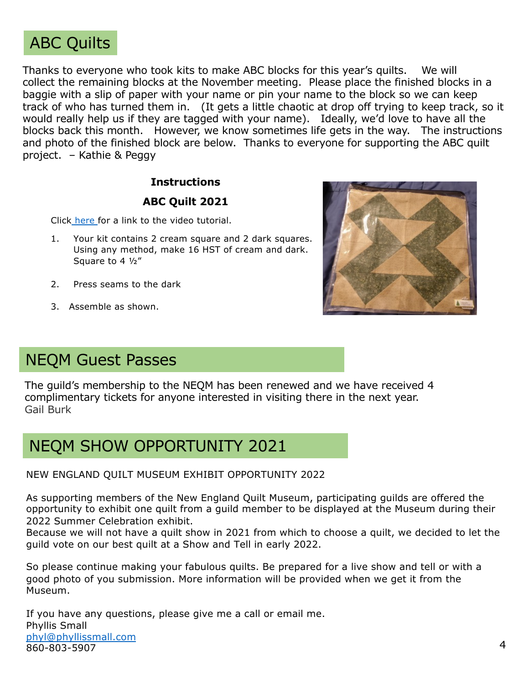

Thanks to everyone who took kits to make ABC blocks for this year's quilts. We will collect the remaining blocks at the November meeting. Please place the finished blocks in a baggie with a slip of paper with your name or pin your name to the block so we can keep track of who has turned them in. (It gets a little chaotic at drop off trying to keep track, so it would really help us if they are tagged with your name). Ideally, we'd love to have all the blocks back this month. However, we know sometimes life gets in the way. The instructions and photo of the finished block are below. Thanks to everyone for supporting the ABC quilt project. – Kathie & Peggy

#### **Instructions**

#### **ABC Quilt 2021**

Click [here](https://www.bing.com/videos/search?q=missouri+star+quilt+company+brown+goose&&view=detail&mid=3017AA6F70D158132C283017AA6F70D158132C28&&FORM=VRDGAR) for a link to the video tutorial.

- 1. Your kit contains 2 cream square and 2 dark squares. Using any method, make 16 HST of cream and dark. Square to 4 ½"
- 2. Press seams to the dark
- 3. Assemble as shown.



# NEQM Guest Passes

The guild's membership to the NEQM has been renewed and we have received 4 complimentary tickets for anyone interested in visiting there in the next year. Gail Burk

# NEQM SHOW OPPORTUNITY 2021

NEW ENGLAND QUILT MUSEUM EXHIBIT OPPORTUNITY 2022

As supporting members of the New England Quilt Museum, participating guilds are offered the opportunity to exhibit one quilt from a guild member to be displayed at the Museum during their 2022 Summer Celebration exhibit.

Because we will not have a quilt show in 2021 from which to choose a quilt, we decided to let the guild vote on our best quilt at a Show and Tell in early 2022.

So please continue making your fabulous quilts. Be prepared for a live show and tell or with a good photo of you submission. More information will be provided when we get it from the Museum.

If you have any questions, please give me a call or email me. Phyllis Small [phyl@phyllissmall.com](mailto:phyl@phyllissmall.com) 860-803-5907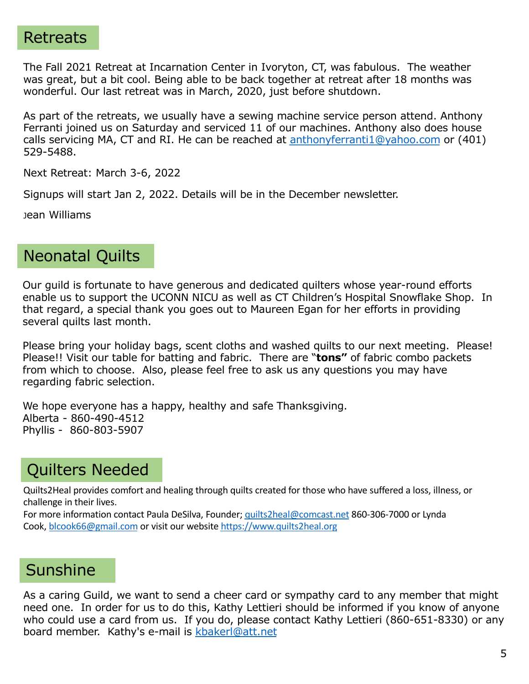## Retreats

The Fall 2021 Retreat at Incarnation Center in Ivoryton, CT, was fabulous. The weather was great, but a bit cool. Being able to be back together at retreat after 18 months was wonderful. Our last retreat was in March, 2020, just before shutdown.

As part of the retreats, we usually have a sewing machine service person attend. Anthony Ferranti joined us on Saturday and serviced 11 of our machines. Anthony also does house calls servicing MA, CT and RI. He can be reached at [anthonyferranti1@yahoo.com](mailto:anthonyferranti1@yahoo.com) or (401) 529-5488.

Next Retreat: March 3-6, 2022

Signups will start Jan 2, 2022. Details will be in the December newsletter.

Jean Williams

# Neonatal Quilts

Our guild is fortunate to have generous and dedicated quilters whose year-round efforts enable us to support the UCONN NICU as well as CT Children's Hospital Snowflake Shop. In that regard, a special thank you goes out to Maureen Egan for her efforts in providing several quilts last month.

Please bring your holiday bags, scent cloths and washed quilts to our next meeting. Please! Please!! Visit our table for batting and fabric. There are "**tons"** of fabric combo packets from which to choose. Also, please feel free to ask us any questions you may have regarding fabric selection.

We hope everyone has a happy, healthy and safe Thanksgiving. Alberta - 860-490-4512 Phyllis - 860-803-5907

# Quilters Needed

Quilts2Heal provides comfort and healing through quilts created for those who have suffered a loss, illness, or challenge in their lives.

For more information contact Paula DeSilva, Founder; [quilts2heal@comcast.ne](mailto:quilts2heal@comcast.net)t 860-306-7000 or Lynda Cook, [blcook66@gmail.com](mailto:blcook66@gmail.com) or visit our website [https://www.quilts2heal.or](https://www.quilts2heal.org/)g

# **Sunshine**

As a caring Guild, we want to send a cheer card or sympathy card to any member that might need one. In order for us to do this, Kathy Lettieri should be informed if you know of anyone who could use a card from us. If you do, please contact Kathy Lettieri (860-651-8330) or any board member. Kathy's e-mail is [kbakerl@att.ne](mailto:kbakerl@att.net)t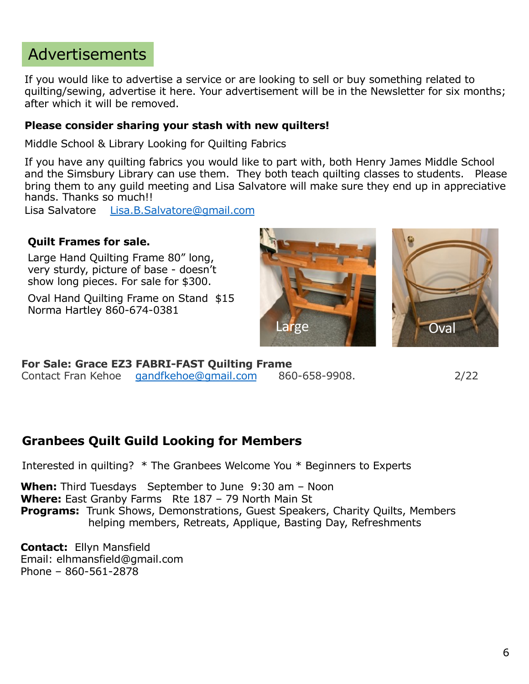# Advertisements

If you would like to advertise a service or are looking to sell or buy something related to quilting/sewing, advertise it here. Your advertisement will be in the Newsletter for six months; after which it will be removed.

#### **Please consider sharing your stash with new quilters!**

Middle School & Library Looking for Quilting Fabrics

If you have any quilting fabrics you would like to part with, both Henry James Middle School and the Simsbury Library can use them. They both teach quilting classes to students. Please bring them to any guild meeting and Lisa Salvatore will make sure they end up in appreciative hands. Thanks so much!!

Lisa Salvatore [Lisa.B.Salvatore@gmail.com](mailto:Lisa.B.Salvatore@gmail.com)

#### **Quilt Frames for sale.**

Large Hand Quilting Frame 80" long, very sturdy, picture of base - doesn't show long pieces. For sale for \$300.

Oval Hand Quilting Frame on Stand \$15 Norma Hartley 860-674-0381





**For Sale: Grace EZ3 FABRI-FAST Quilting Frame**  Contact Fran Kehoe [gandfkehoe@gmail.com](mailto:gandfkehoe@gmail.com) 860-658-9908. 2/22

### **Granbees Quilt Guild Looking for Members**

Interested in quilting? \* The Granbees Welcome You \* Beginners to Experts

**When:** Third Tuesdays September to June 9:30 am – Noon **Where:** East Granby Farms Rte 187 – 79 North Main St **Programs:** Trunk Shows, Demonstrations, Guest Speakers, Charity Quilts, Members helping members, Retreats, Applique, Basting Day, Refreshments

**Contact:** Ellyn Mansfield Email: elhmansfield@gmail.com Phone – 860-561-2878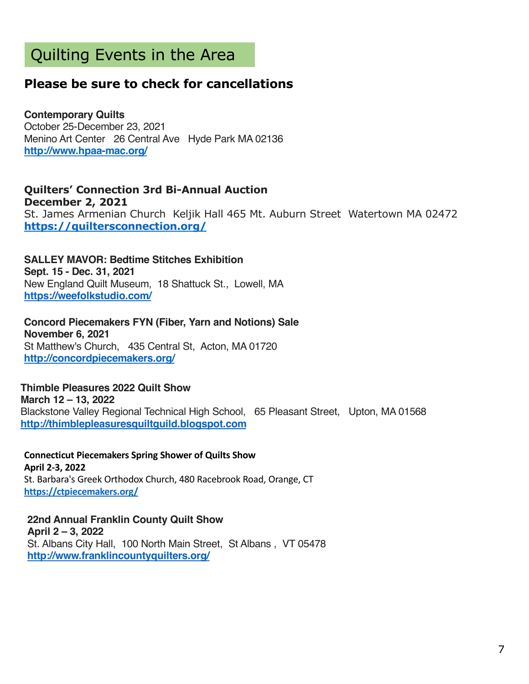# Quilting Events in the Area

## **Please be sure to check for cancellations**

**Contemporary Quilts** October 25-December 23, 2021 Menino Art Center 26 Central Ave Hyde Park MA 02136 **[http://www.hpaa-mac.org](https://sewmanyshows.us19.list-manage.com/track/click?u=45e35880b67872826e6bfbfc2&id=37763ad6ad&e=781fb09e8a)/**

**Quilters' Connection 3rd Bi-Annual Auction December 2, 2021** St. James Armenian Church Keljik Hall 465 Mt. Auburn Street Watertown MA 02472 **[https://quiltersconnection.org](https://sewmanyshows.us19.list-manage.com/track/click?u=45e35880b67872826e6bfbfc2&id=49700ca1dd&e=781fb09e8a)/**

**SALLEY MAVOR: Bedtime Stitches Exhibition Sept. 15 - Dec. 31, 2021** New England Quilt Museum, 18 Shattuck St., Lowell, MA **[https://weefolkstudio.com](https://sewmanyshows.us19.list-manage.com/track/click?u=45e35880b67872826e6bfbfc2&id=5b0cd6493d&e=781fb09e8a)/**

**Concord Piecemakers FYN (Fiber, Yarn and Notions) Sale November 6, 2021** St Matthew's Church, 435 Central St, Acton, MA 01720 **[http://concordpiecemakers.org](https://sewmanyshows.us19.list-manage.com/track/click?u=45e35880b67872826e6bfbfc2&id=7f85e2e49c&e=781fb09e8a)/**

**Thimble Pleasures 2022 Quilt Show March 12 – 13, 2022** Blackstone Valley Regional Technical High School, 65 Pleasant Street, Upton, MA 01568 **[http://thimblepleasuresquiltguild.blogspot.com](https://sewmanyshows.us19.list-manage.com/track/click?u=45e35880b67872826e6bfbfc2&id=ee2296c414&e=781fb09e8a)**

**Connecticut Piecemakers Spring Shower of Quilts Show April 2-3, 2022** St. Barbara's Greek Orthodox Church, 480 Racebrook Road, Orange, CT **[https://ctpiecemakers.org](https://sewmanyshows.us19.list-manage.com/track/click?u=45e35880b67872826e6bfbfc2&id=857a37951f&e=781fb09e8a)/**

**22nd Annual Franklin County Quilt Show April 2 – 3, 2022** St. Albans City Hall, 100 North Main Street, St Albans , VT 05478 **[http://www.franklincountyquilters.org](https://sewmanyshows.us19.list-manage.com/track/click?u=45e35880b67872826e6bfbfc2&id=85aea1124f&e=781fb09e8a)/**